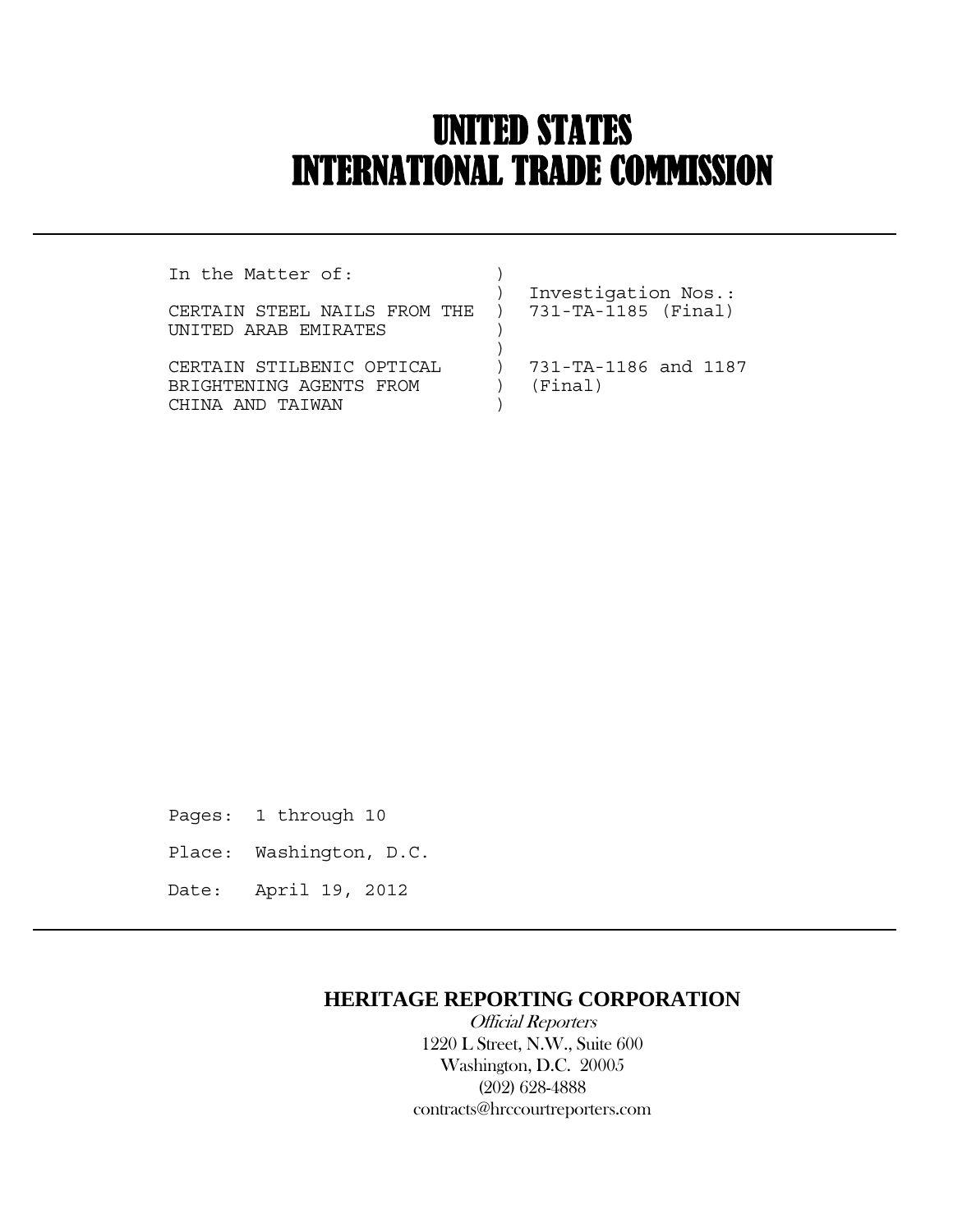# UNITED STATES INTERNATIONAL TRADE COMMISSION

| In the Matter of:                                  |                      |
|----------------------------------------------------|----------------------|
|                                                    | Investigation Nos.:  |
| CERTAIN STEEL NAILS FROM THE ) 731-TA-1185 (Final) |                      |
| INITED ARAR EMIRATES                               |                      |
|                                                    |                      |
| CERTAIN STILBENIC OPTICAL                          | 731-TA-1186 and 1187 |
| BRIGHTENING AGENTS FROM                            | (Final)              |
| AND TAIWAN                                         |                      |

Pages: 1 through 10 Place: Washington, D.C. Date: April 19, 2012

 $\overline{a}$ 

## **HERITAGE REPORTING CORPORATION**

 Official Reporters 1220 L Street, N.W., Suite 600 Washington, D.C. 20005 (202) 628-4888 contracts@hrccourtreporters.com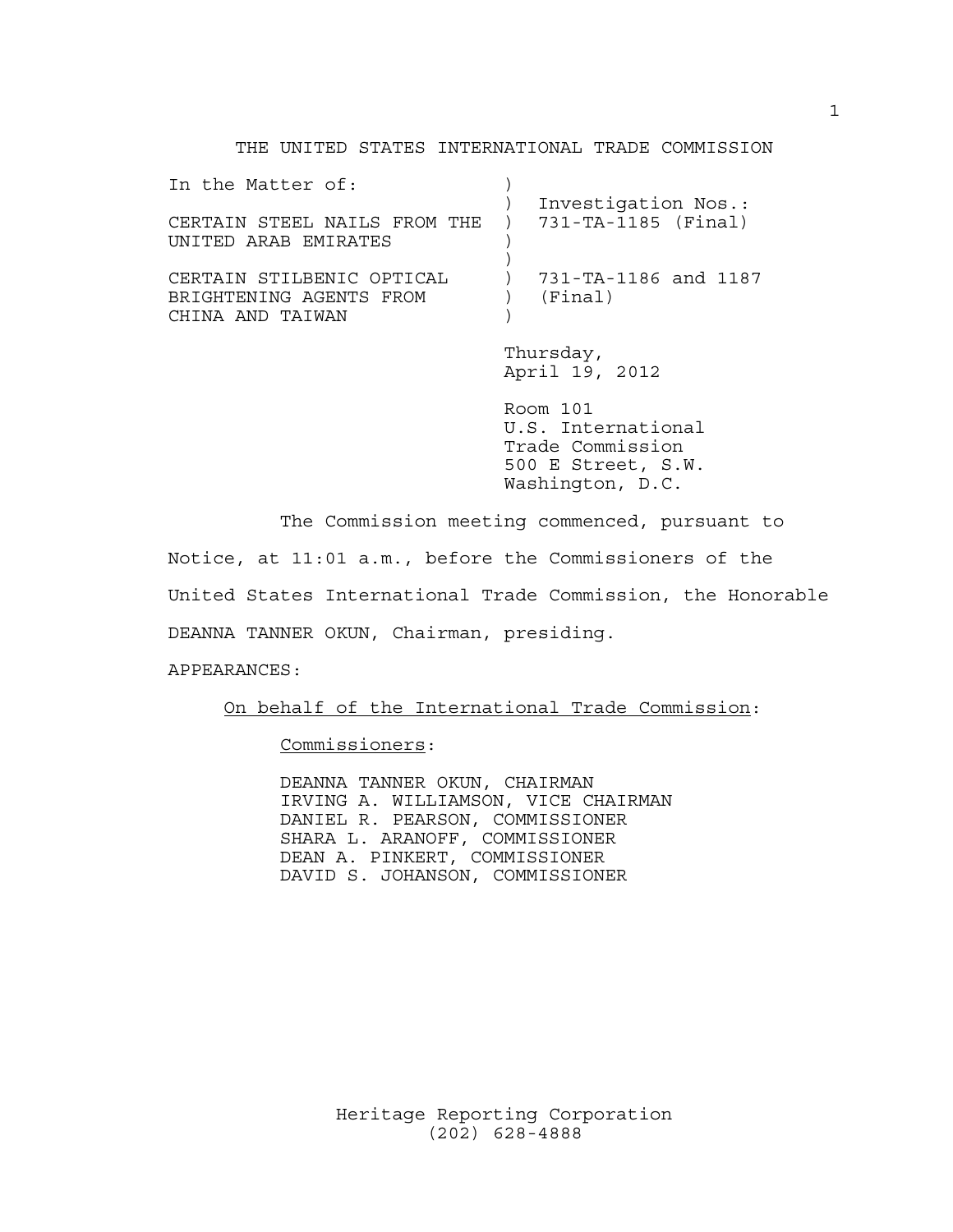#### THE UNITED STATES INTERNATIONAL TRADE COMMISSION

| In the Matter of:<br>CERTAIN STEEL NAILS FROM THE ) 731-TA-1185 (Final)<br>UNITED ARAB EMIRATES | Investigation Nos.:             |
|-------------------------------------------------------------------------------------------------|---------------------------------|
| CERTAIN STILBENIC OPTICAL<br>BRIGHTENING AGENTS FROM<br>CHINA AND TAIWAN                        | 731-TA-1186 and 1187<br>(Final) |
|                                                                                                 | $m$ hurodovz                    |

 Thursday, April 19, 2012

 Room 101 U.S. International Trade Commission 500 E Street, S.W. Washington, D.C.

The Commission meeting commenced, pursuant to

Notice, at 11:01 a.m., before the Commissioners of the

United States International Trade Commission, the Honorable

DEANNA TANNER OKUN, Chairman, presiding.

APPEARANCES:

On behalf of the International Trade Commission:

Commissioners:

 DEANNA TANNER OKUN, CHAIRMAN IRVING A. WILLIAMSON, VICE CHAIRMAN DANIEL R. PEARSON, COMMISSIONER SHARA L. ARANOFF, COMMISSIONER DEAN A. PINKERT, COMMISSIONER DAVID S. JOHANSON, COMMISSIONER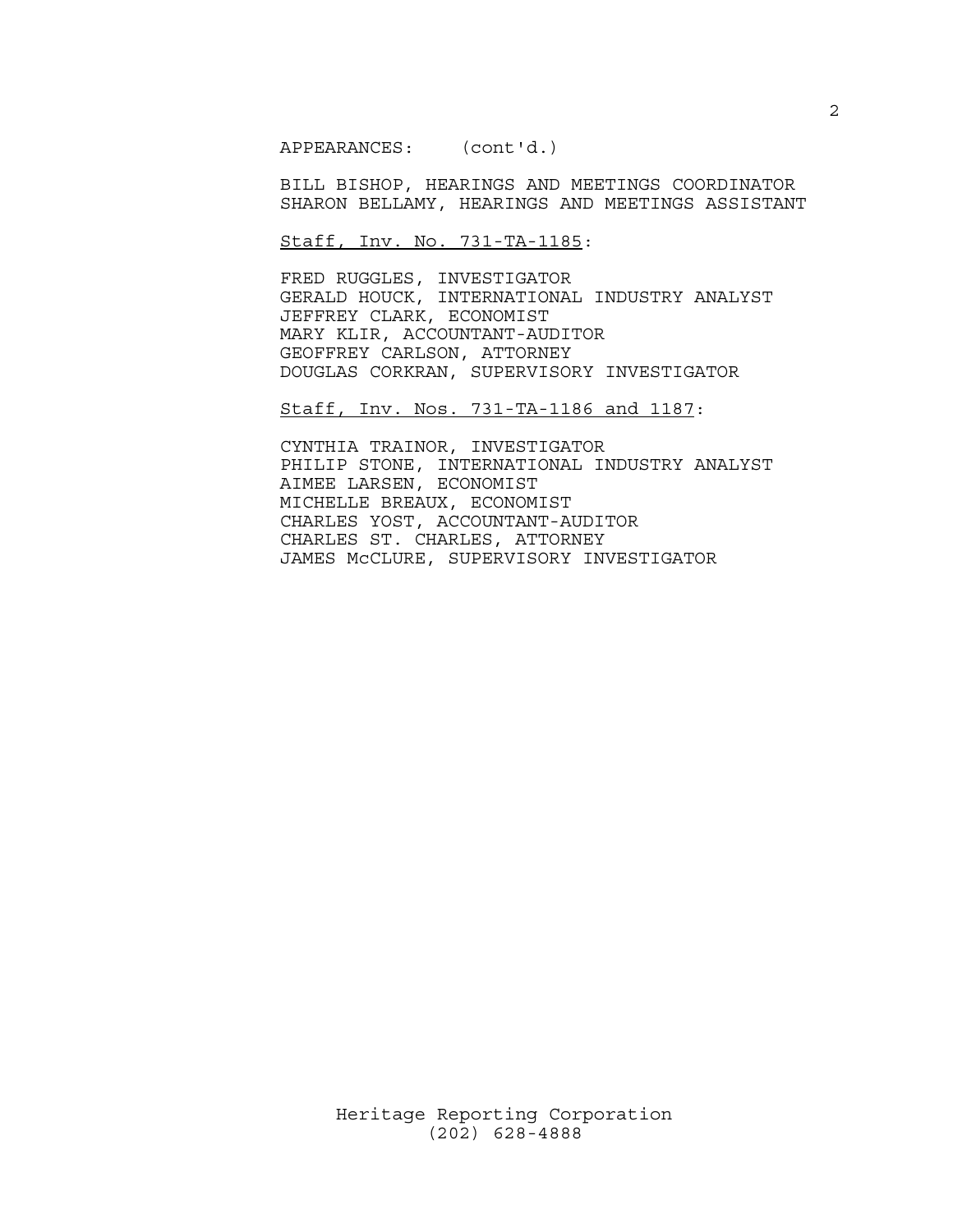APPEARANCES: (cont'd.)

 BILL BISHOP, HEARINGS AND MEETINGS COORDINATOR SHARON BELLAMY, HEARINGS AND MEETINGS ASSISTANT

Staff, Inv. No. 731-TA-1185:

 FRED RUGGLES, INVESTIGATOR GERALD HOUCK, INTERNATIONAL INDUSTRY ANALYST JEFFREY CLARK, ECONOMIST MARY KLIR, ACCOUNTANT-AUDITOR GEOFFREY CARLSON, ATTORNEY DOUGLAS CORKRAN, SUPERVISORY INVESTIGATOR

Staff, Inv. Nos. 731-TA-1186 and 1187:

 CYNTHIA TRAINOR, INVESTIGATOR PHILIP STONE, INTERNATIONAL INDUSTRY ANALYST AIMEE LARSEN, ECONOMIST MICHELLE BREAUX, ECONOMIST CHARLES YOST, ACCOUNTANT-AUDITOR CHARLES ST. CHARLES, ATTORNEY JAMES McCLURE, SUPERVISORY INVESTIGATOR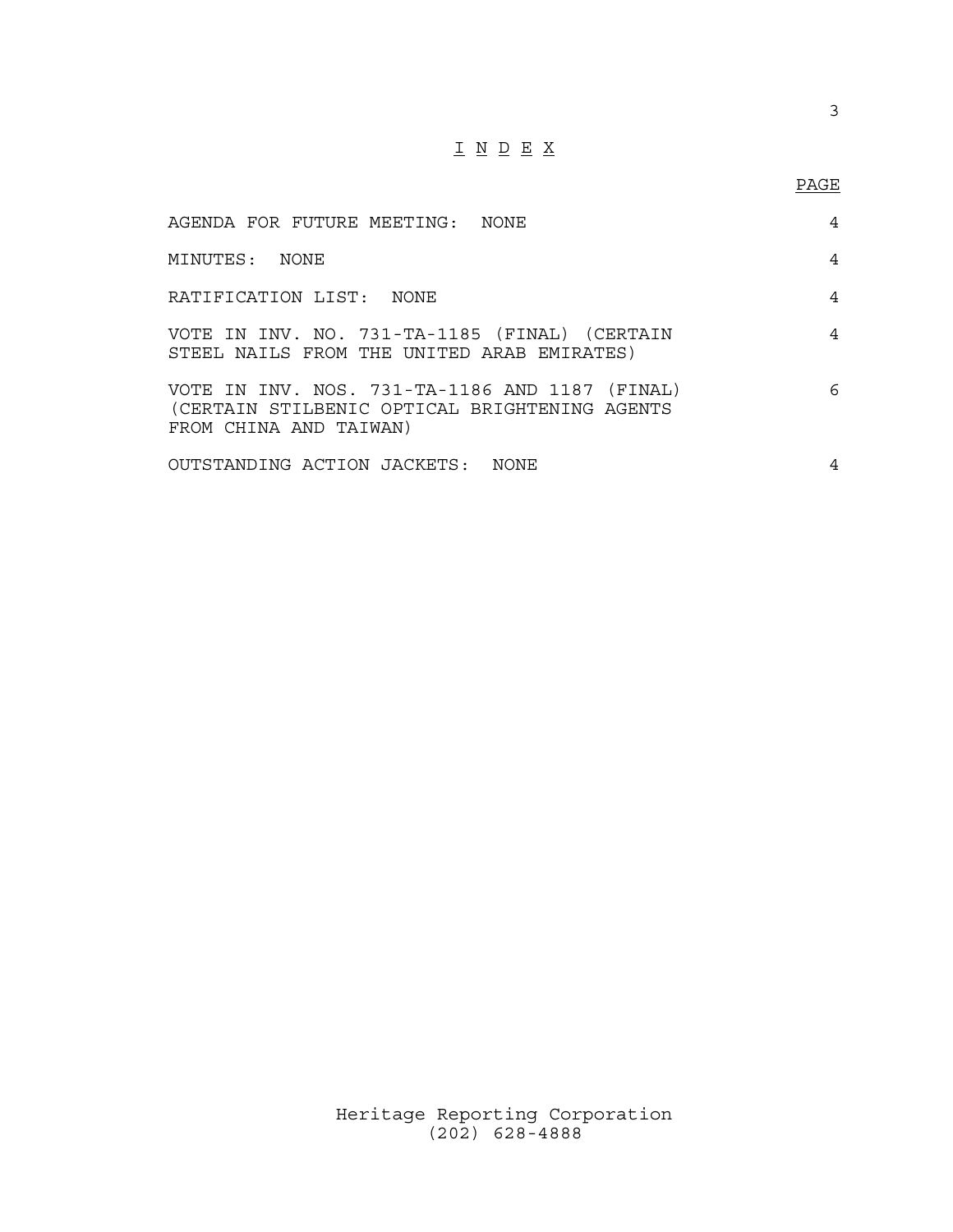## I N D E X

### PAGE

| AGENDA FOR FUTURE MEETING: NONE                                                                                           | 4 |
|---------------------------------------------------------------------------------------------------------------------------|---|
| MINUTES: NONE                                                                                                             | 4 |
| RATIFICATION LIST: NONE                                                                                                   | 4 |
| VOTE IN INV. NO. 731-TA-1185 (FINAL) (CERTAIN<br>STEEL NAILS FROM THE UNITED ARAB EMIRATES)                               | 4 |
| VOTE IN INV. NOS. 731-TA-1186 AND 1187 (FINAL)<br>(CERTAIN STILBENIC OPTICAL BRIGHTENING AGENTS<br>FROM CHINA AND TAIWAN) | 6 |
| OUTSTANDING ACTION JACKETS: NONE                                                                                          | 4 |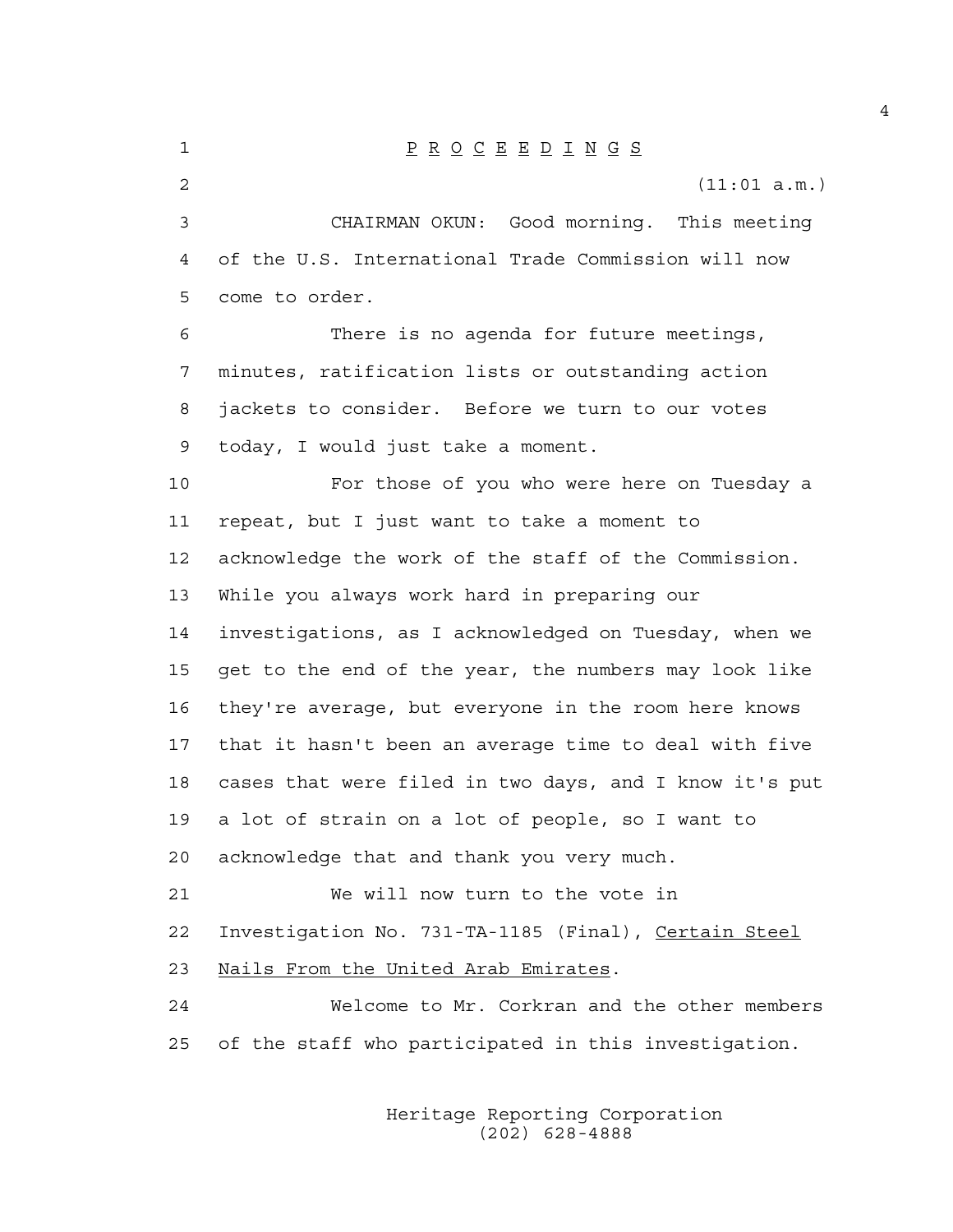1 P R O C E E D I N G S 2 (11:01 a.m.) 3 CHAIRMAN OKUN: Good morning. This meeting 4 of the U.S. International Trade Commission will now 5 come to order. 6 There is no agenda for future meetings, 7 minutes, ratification lists or outstanding action 8 jackets to consider. Before we turn to our votes 9 today, I would just take a moment. 10 For those of you who were here on Tuesday a 11 repeat, but I just want to take a moment to 12 acknowledge the work of the staff of the Commission. 13 While you always work hard in preparing our 14 investigations, as I acknowledged on Tuesday, when we 15 get to the end of the year, the numbers may look like 16 they're average, but everyone in the room here knows 17 that it hasn't been an average time to deal with five 18 cases that were filed in two days, and I know it's put 19 a lot of strain on a lot of people, so I want to 20 acknowledge that and thank you very much. 21 We will now turn to the vote in 22 Investigation No. 731-TA-1185 (Final), Certain Steel 23 Nails From the United Arab Emirates. 24 Welcome to Mr. Corkran and the other members 25 of the staff who participated in this investigation.

> Heritage Reporting Corporation (202) 628-4888

4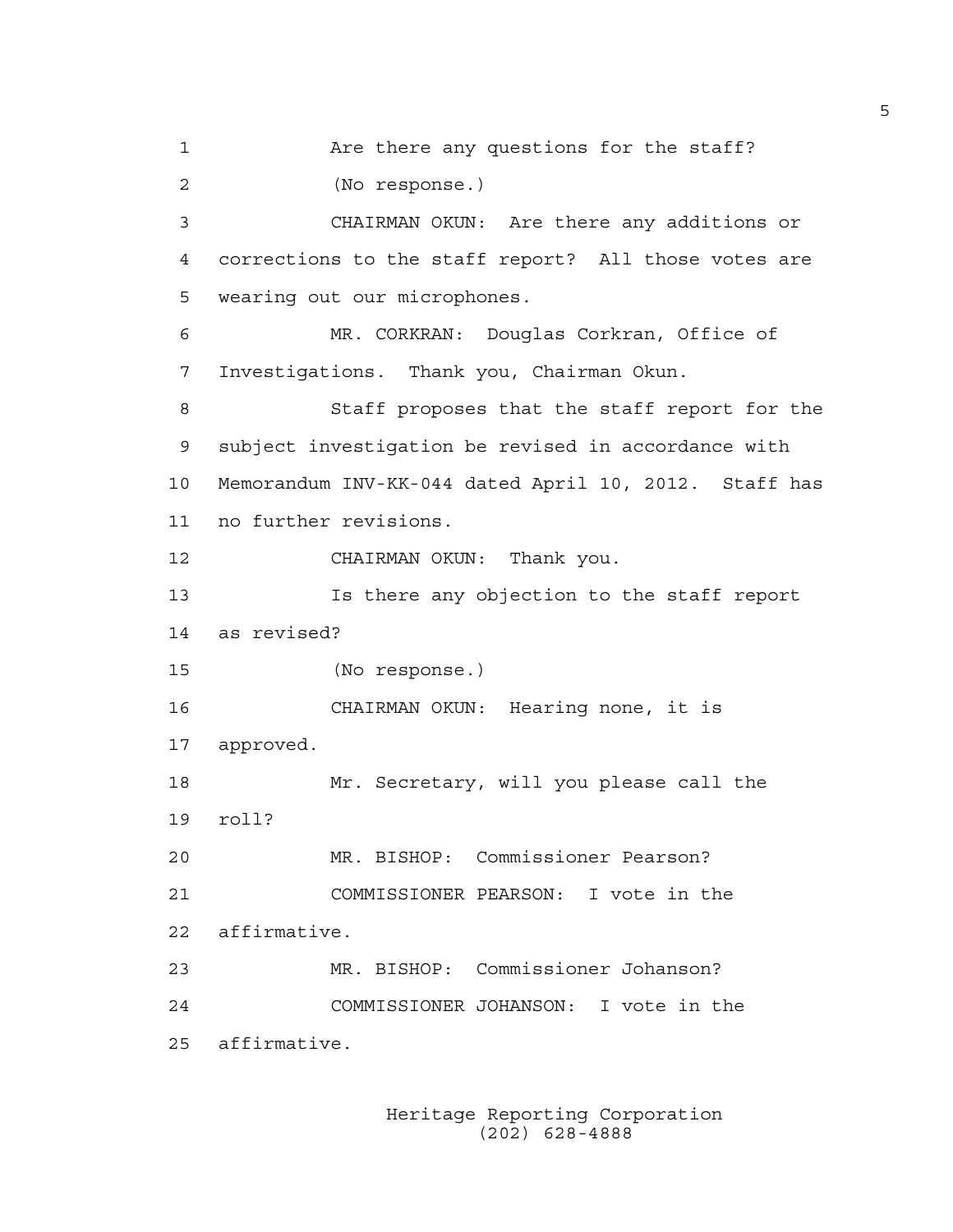1 Are there any questions for the staff? 2 (No response.) 3 CHAIRMAN OKUN: Are there any additions or 4 corrections to the staff report? All those votes are 5 wearing out our microphones. 6 MR. CORKRAN: Douglas Corkran, Office of 7 Investigations. Thank you, Chairman Okun. 8 Staff proposes that the staff report for the 9 subject investigation be revised in accordance with 10 Memorandum INV-KK-044 dated April 10, 2012. Staff has 11 no further revisions. 12 CHAIRMAN OKUN: Thank you. 13 Is there any objection to the staff report 14 as revised? 15 (No response.) 16 CHAIRMAN OKUN: Hearing none, it is 17 approved. 18 Mr. Secretary, will you please call the 19 roll? 20 MR. BISHOP: Commissioner Pearson? 21 COMMISSIONER PEARSON: I vote in the 22 affirmative. 23 MR. BISHOP: Commissioner Johanson? 24 COMMISSIONER JOHANSON: I vote in the 25 affirmative.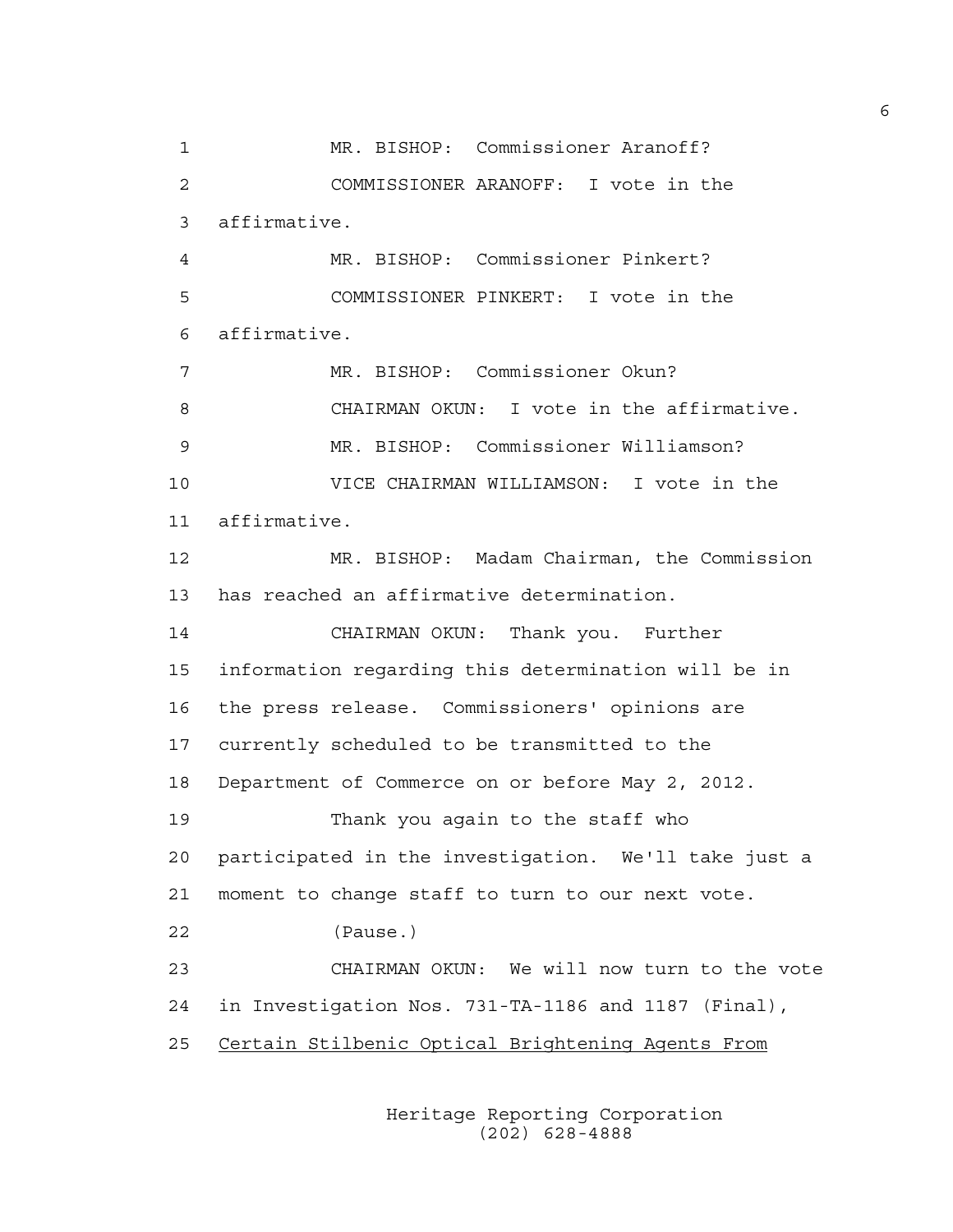1 MR. BISHOP: Commissioner Aranoff? 2 COMMISSIONER ARANOFF: I vote in the 3 affirmative. 4 MR. BISHOP: Commissioner Pinkert? 5 COMMISSIONER PINKERT: I vote in the 6 affirmative. 7 MR. BISHOP: Commissioner Okun? 8 CHAIRMAN OKUN: I vote in the affirmative. 9 MR. BISHOP: Commissioner Williamson? 10 VICE CHAIRMAN WILLIAMSON: I vote in the 11 affirmative. 12 MR. BISHOP: Madam Chairman, the Commission 13 has reached an affirmative determination. 14 CHAIRMAN OKUN: Thank you. Further 15 information regarding this determination will be in 16 the press release. Commissioners' opinions are 17 currently scheduled to be transmitted to the 18 Department of Commerce on or before May 2, 2012. 19 Thank you again to the staff who 20 participated in the investigation. We'll take just a 21 moment to change staff to turn to our next vote. 22 (Pause.) 23 CHAIRMAN OKUN: We will now turn to the vote 24 in Investigation Nos. 731-TA-1186 and 1187 (Final), 25 Certain Stilbenic Optical Brightening Agents From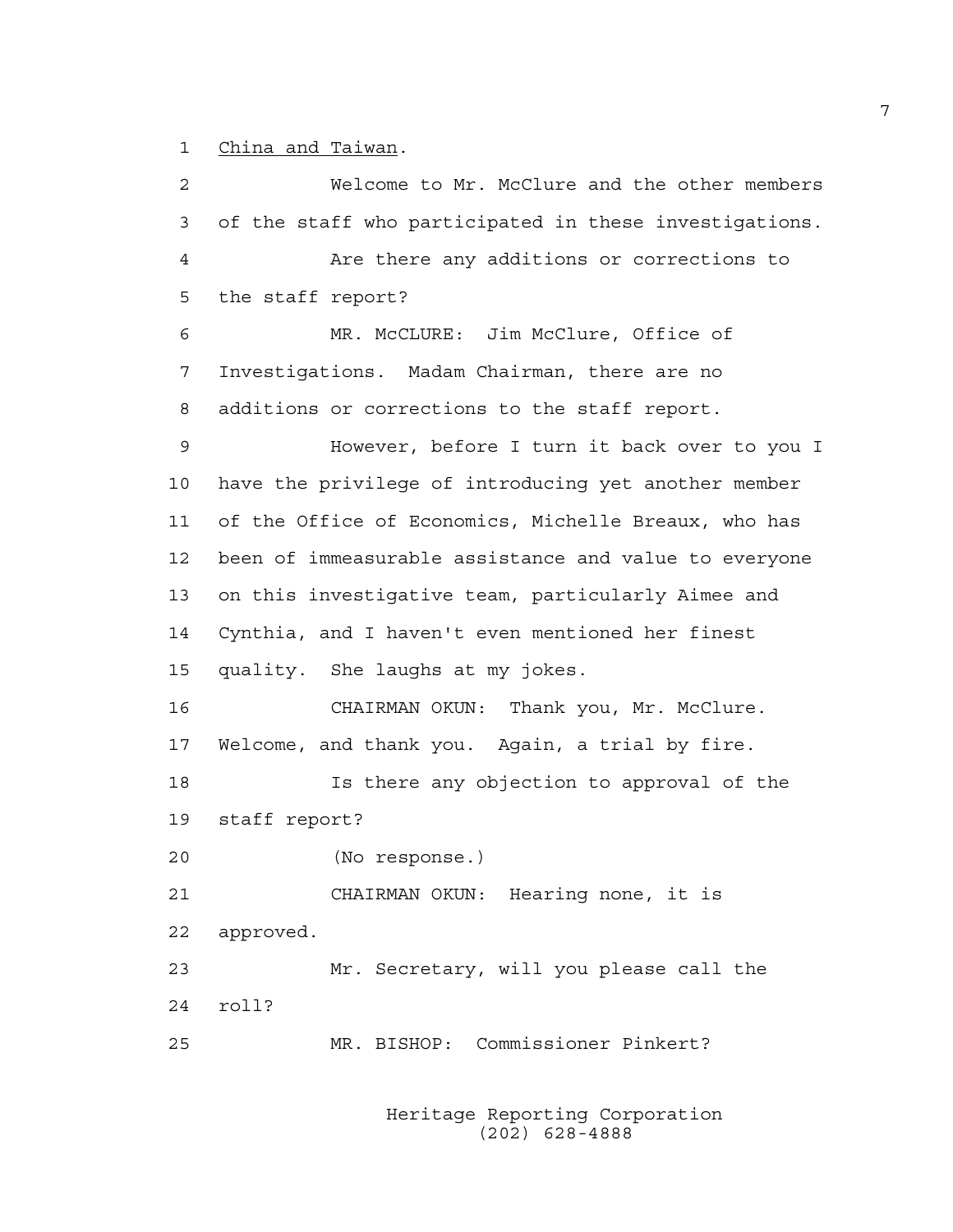1 China and Taiwan.

2 Welcome to Mr. McClure and the other members 3 of the staff who participated in these investigations. 4 Are there any additions or corrections to 5 the staff report? 6 MR. McCLURE: Jim McClure, Office of 7 Investigations. Madam Chairman, there are no 8 additions or corrections to the staff report. 9 However, before I turn it back over to you I 10 have the privilege of introducing yet another member 11 of the Office of Economics, Michelle Breaux, who has 12 been of immeasurable assistance and value to everyone 13 on this investigative team, particularly Aimee and 14 Cynthia, and I haven't even mentioned her finest 15 quality. She laughs at my jokes. 16 CHAIRMAN OKUN: Thank you, Mr. McClure. 17 Welcome, and thank you. Again, a trial by fire. 18 Is there any objection to approval of the 19 staff report? 20 (No response.) 21 CHAIRMAN OKUN: Hearing none, it is 22 approved. 23 Mr. Secretary, will you please call the 24 roll? 25 MR. BISHOP: Commissioner Pinkert?

> Heritage Reporting Corporation (202) 628-4888

7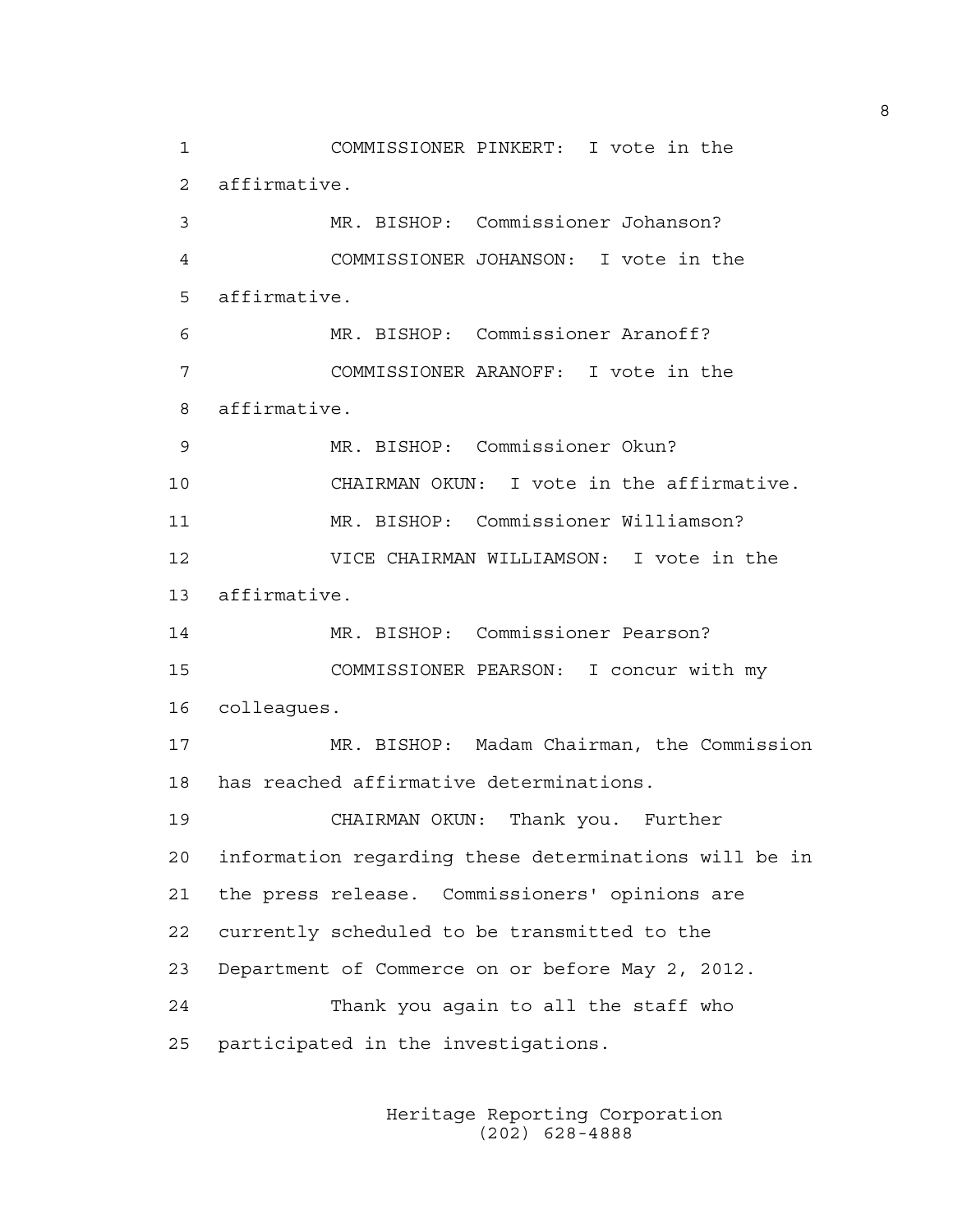1 COMMISSIONER PINKERT: I vote in the 2 affirmative. 3 MR. BISHOP: Commissioner Johanson? 4 COMMISSIONER JOHANSON: I vote in the 5 affirmative. 6 MR. BISHOP: Commissioner Aranoff? 7 COMMISSIONER ARANOFF: I vote in the 8 affirmative. 9 MR. BISHOP: Commissioner Okun? 10 CHAIRMAN OKUN: I vote in the affirmative. 11 MR. BISHOP: Commissioner Williamson? 12 VICE CHAIRMAN WILLIAMSON: I vote in the 13 affirmative. 14 MR. BISHOP: Commissioner Pearson? 15 COMMISSIONER PEARSON: I concur with my 16 colleagues. 17 MR. BISHOP: Madam Chairman, the Commission 18 has reached affirmative determinations. 19 CHAIRMAN OKUN: Thank you. Further 20 information regarding these determinations will be in 21 the press release. Commissioners' opinions are 22 currently scheduled to be transmitted to the 23 Department of Commerce on or before May 2, 2012. 24 Thank you again to all the staff who 25 participated in the investigations.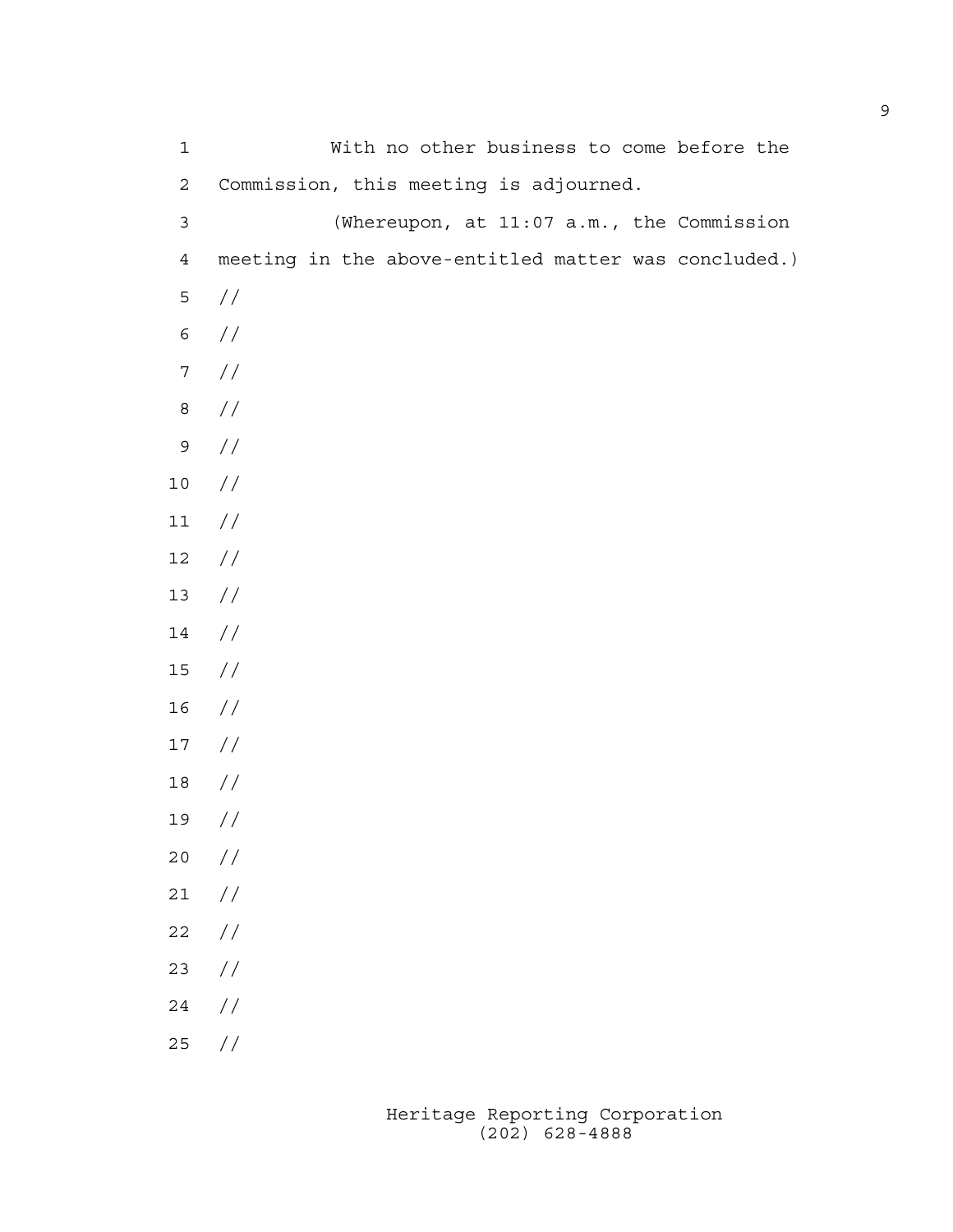| $\mathbf 1$    | With no other business to come before the            |
|----------------|------------------------------------------------------|
| $\sqrt{2}$     | Commission, this meeting is adjourned.               |
| $\mathsf{3}$   | (Whereupon, at 11:07 a.m., the Commission            |
| $\overline{4}$ | meeting in the above-entitled matter was concluded.) |
| 5              | //                                                   |
| 6              | //                                                   |
| $\overline{7}$ | $\sqrt{}$                                            |
| $\,8\,$        | $\sqrt{}$                                            |
| $\mathsf 9$    | $\sqrt{}$                                            |
| $10\,$         | $\frac{1}{2}$                                        |
| $11\,$         | $\sqrt{}$                                            |
| $12\,$         | $\sqrt{}$                                            |
| $13\,$         | $\sqrt{}$                                            |
| 14             | $\frac{1}{2}$                                        |
| $15$           | $\frac{1}{2}$                                        |
| 16             | $\frac{1}{2}$                                        |
| $17$           | $\frac{1}{2}$                                        |
| $18\,$         | //                                                   |
| 19             | //                                                   |
| $20$           | $\frac{1}{2}$                                        |
| $21\,$         | $\frac{1}{2}$                                        |
| 22             | $\frac{1}{2}$                                        |
| 23             | $\sqrt{}$                                            |
| 24             | $\frac{1}{2}$                                        |
| 25             | //                                                   |